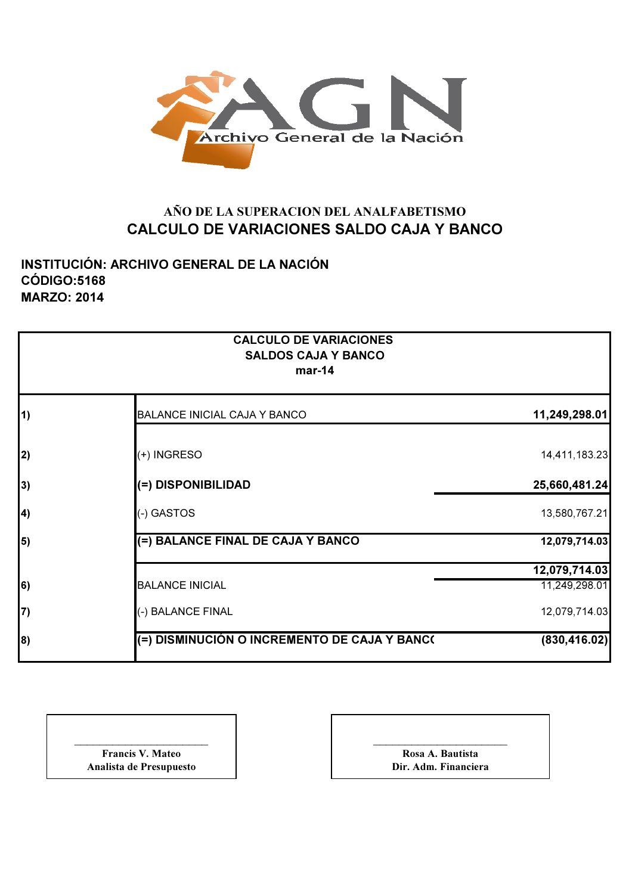

## AÑO DE LA SUPERACION DEL ANALFABETISMO CALCULO DE VARIACIONES SALDO CAJA Y BANCO

INSTITUCIÓN: ARCHIVO GENERAL DE LA NACIÓN CÓDIGO:5168 MARZO: 2014

|            | <b>CALCULO DE VARIACIONES</b><br><b>SALDOS CAJA Y BANCO</b><br>$mar-14$ |               |
|------------|-------------------------------------------------------------------------|---------------|
| $\vert$ 1) | <b>BALANCE INICIAL CAJA Y BANCO</b>                                     | 11,249,298.01 |
| 2)         | (+) INGRESO                                                             | 14,411,183.23 |
| 3)         | (=) DISPONIBILIDAD                                                      | 25,660,481.24 |
| $\vert 4$  | (-) GASTOS                                                              | 13,580,767.21 |
| 5)         | (=) BALANCE FINAL DE CAJA Y BANCO                                       | 12,079,714.03 |
|            |                                                                         | 12,079,714.03 |
| $\vert 6)$ | <b>BALANCE INICIAL</b>                                                  | 11,249,298.01 |
| 7)         | (-) BALANCE FINAL                                                       | 12,079,714.03 |
| 8)         | (=) DISMINUCIÓN O INCREMENTO DE CAJA Y BANC(                            | (830, 416.02) |

| <b>Francis V. Mateo</b> |
|-------------------------|
| Analista de Presupuesto |

\_\_\_\_\_\_\_\_\_\_\_\_\_\_\_\_\_\_\_\_\_ Rosa A. Bautista Dir. Adm. Financiera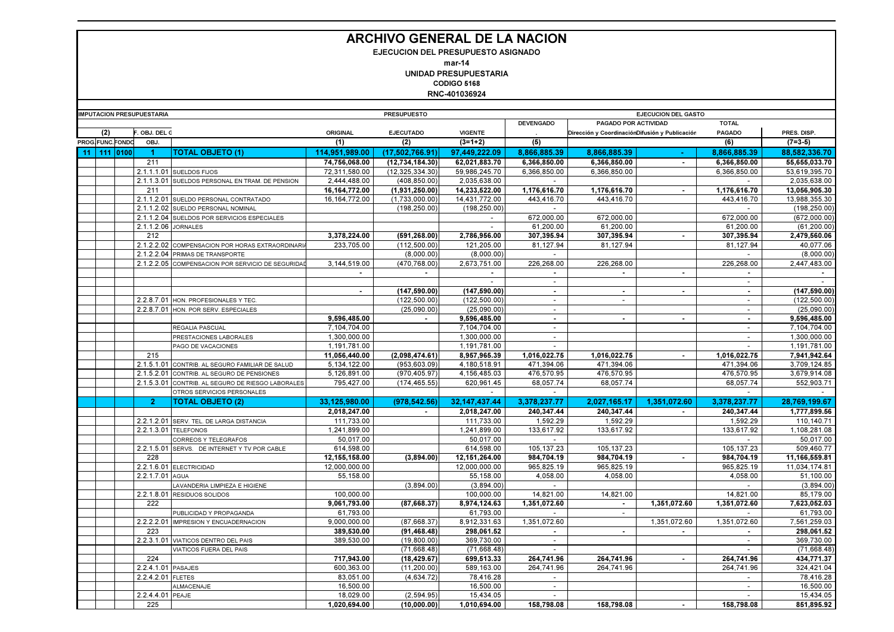## ARCHIVO GENERAL DE LA NACION

EJECUCION DEL PRESUPUESTO ASIGNADO

mar-14UNIDAD PRESUPUESTARIA

CODIGO 5168

RNC-401036924

| <b>IMPUTACION PRESUPUESTARIA</b> |     |                 |                     |                                                  |                              | <b>PRESUPUESTO</b> |                              | <b>EJECUCION DEL GASTO</b>     |                                                |                          |                          |                              |
|----------------------------------|-----|-----------------|---------------------|--------------------------------------------------|------------------------------|--------------------|------------------------------|--------------------------------|------------------------------------------------|--------------------------|--------------------------|------------------------------|
|                                  |     |                 |                     |                                                  |                              |                    |                              | <b>DEVENGADO</b>               | PAGADO POR ACTIVIDAD                           |                          | <b>TOTAL</b>             |                              |
|                                  | (2) |                 | F. OBJ. DEL C       |                                                  | ORIGINAL                     | <b>EJECUTADO</b>   | <b>VIGENTE</b>               |                                | Dirección y CoordinaciónDifusión y Publicación |                          | <b>PAGADO</b>            | PRES. DISP.                  |
|                                  |     | PROG.FUNC.FONDC | OBJ.                |                                                  | (1)                          | (2)                | $(3=1+2)$                    | (5)                            |                                                |                          | (6)                      | $(7=3-5)$                    |
| $-11$                            |     | 111 0100        |                     | TOTAL OBJETO (1)                                 | 114,951,989.00               | (17,502,766.91)    | 97.449.222.09                | 8.866.885.39                   | 8.866.885.39                                   |                          | 8.866.885.39             | 88.582.336.70                |
|                                  |     |                 | 211                 |                                                  | 74,756,068.00                | (12,734,184.30)    | 62,021,883.70                | 6,366,850.00                   | 6,366,850.00                                   |                          | 6,366,850.00             | 55,655,033.70                |
|                                  |     |                 |                     | 2.1.1.1.01 SUELDOS FIJOS                         | 72,311,580.00                | (12, 325, 334, 30) | 59,986,245.70                | 6,366,850.00                   | 6,366,850.00                                   |                          | 6,366,850.00             | 53,619,395.70                |
|                                  |     |                 | 2.1.1.3.01          | SUELDOS PERSONAL EN TRAM. DE PENSION             | 2,444,488.00                 | (408, 850.00)      | 2,035,638.00                 | $\sim$                         |                                                |                          |                          | 2,035,638.00                 |
|                                  |     |                 | 211                 |                                                  | 16,164,772.00                | (1,931,250.00)     | 14,233,522.00                | 1,176,616.70                   | 1,176,616.70                                   |                          | 1,176,616.70             | 13,056,905.30                |
|                                  |     |                 |                     | 2.1.1.2.01 SUELDO PERSONAL CONTRATADO            | 16, 164, 772.00              | (1,733,000.00)     | 14,431,772.00                | 443,416.70                     | 443,416.70                                     |                          | 443,416.70               | 13,988,355.30                |
|                                  |     |                 | 2.1.1.2.02          | SUELDO PERSONAL NOMINAL                          |                              | (198, 250.00)      | (198, 250.00)                | $\sim$                         |                                                |                          | $\overline{\phantom{a}}$ | (198, 250.00)                |
|                                  |     |                 |                     | 2.1.1.2.04 SUELDOS POR SERVICIOS ESPECIALES      |                              |                    | $\overline{a}$               | 672,000.00                     | 672,000.00                                     |                          | 672,000.00               | (672,000.00)                 |
|                                  |     |                 | 2.1.1.2.06 JORNALES |                                                  |                              |                    |                              | 61,200.00                      | 61,200.00                                      |                          | 61,200.00                | (61, 200.00)                 |
|                                  |     |                 | 212                 |                                                  | 3,378,224.00                 | (591, 268.00)      | 2,786,956.00                 | 307,395.94                     | 307,395.94                                     | $\sim$                   | 307,395.94               | 2,479,560.06                 |
|                                  |     |                 |                     | 2.1.2.2.02 COMPENSACION POR HORAS EXTRAORDINARI  | 233.705.00                   | (112, 500.00)      | 121,205.00                   | 81,127.94                      | 81,127.94                                      |                          | 81,127.94                | 40,077.06                    |
|                                  |     |                 |                     | 2.1.2.2.04 PRIMAS DE TRANSPORTE                  |                              | (8,000.00)         | (8,000.00)                   | $\overline{\phantom{a}}$       |                                                |                          | $\sim$                   | (8,000.00)                   |
|                                  |     |                 |                     | 2.1.2.2.05 COMPENSACION POR SERVICIO DE SEGURIDA | 3,144,519.00                 | (470, 768.00)      | 2,673,751.00                 | 226,268.00                     | 226,268.00                                     |                          | 226,268.00               | 2,447,483.00                 |
|                                  |     |                 |                     |                                                  |                              | $\blacksquare$     | $\sim$                       |                                | $\blacksquare$                                 | $\blacksquare$           | $\sim$                   |                              |
|                                  |     |                 |                     |                                                  |                              |                    | $\overline{\phantom{a}}$     | $\sim$                         |                                                |                          | $\sim$                   | $\overline{\phantom{a}}$     |
|                                  |     |                 |                     |                                                  | $\blacksquare$               | (147, 590.00)      | (147, 590.00)                | $\sim$                         | $\sim$                                         | $\blacksquare$           | $\sim$                   | (147, 590.00)                |
|                                  |     |                 | 2.2.8.7.01          | HON. PROFESIONALES Y TEC.                        |                              | (122, 500.00)      | (122, 500.00)                | $\mathbf{r}$                   | $\blacksquare$                                 |                          | $\overline{\phantom{a}}$ | (122, 500.00)                |
|                                  |     |                 |                     | 2.2.8.7.01 HON. POR SERV. ESPECIALES             |                              | (25,090.00)        | (25,090.00)                  | $\blacksquare$                 |                                                |                          | $\sim$                   | (25,090.00)                  |
|                                  |     |                 |                     |                                                  | 9,596,485.00                 | $\sim$             | 9,596,485.00                 | $\mathbf{r}$<br>$\blacksquare$ | $\sim$                                         | $\overline{\phantom{a}}$ | $\sim$                   | 9,596,485.00                 |
|                                  |     |                 |                     | REGALIA PASCUAL                                  | 7,104,704.00<br>1.300.000.00 |                    | 7,104,704.00<br>1,300,000.00 | $\sim$                         |                                                |                          | $\sim$                   | 7,104,704.00<br>1.300.000.00 |
|                                  |     |                 |                     | PRESTACIONES LABORALES<br>PAGO DE VACACIONES     | 1,191,781.00                 |                    | 1,191,781.00                 | $\overline{\phantom{a}}$       |                                                |                          |                          | 1,191,781.00                 |
|                                  |     |                 | 215                 |                                                  | 11,056,440.00                | (2,098,474.61)     | 8,957,965.39                 | 1,016,022.75                   | 1.016.022.75<br>$\sim$                         |                          | 1,016,022.75             | 7,941,942.64                 |
|                                  |     |                 |                     | 2.1.5.1.01 CONTRIB. AL SEGURO FAMILIAR DE SALUD  | 5,134,122.00                 | (953, 603.09)      | 4,180,518.91                 | 471,394.06                     | 471,394.06                                     |                          | 471,394.06               | 3,709,124.85                 |
|                                  |     |                 | 2.1.5.2.01          | CONTRIB. AL SEGURO DE PENSIONES                  | 5,126,891.00                 | (970,405.97)       | 4,156,485.03                 | 476,570.95                     | 476.570.95                                     |                          | 476,570.95               | 3.679.914.08                 |
|                                  |     |                 | 2.1.5.3.01          | CONTRIB. AL SEGURO DE RIESGO LABORALES           | 795,427.00                   | (174, 465.55)      | 620,961.45                   | 68,057.74                      | 68,057.74                                      |                          | 68,057.74                | 552,903.71                   |
|                                  |     |                 |                     | OTROS SERVICIOS PERSONALES                       |                              |                    |                              |                                |                                                |                          |                          |                              |
|                                  |     |                 | $\mathbf{2}$        | <b>TOTAL OBJETO (2)</b>                          | 33,125,980.00                | (978, 542.56)      | 32, 147, 437. 44             | 3,378,237.77                   | 2,027,165.17                                   | 1.351.072.60             | 3,378,237.77             | 28,769,199.67                |
|                                  |     |                 |                     |                                                  |                              | $\sim$             |                              |                                | 240.347.44                                     | $\sim$                   |                          |                              |
|                                  |     |                 |                     | 2.2.1.2.01 SERV. TEL. DE LARGA DISTANCIA         | 2,018,247.00<br>111,733.00   |                    | 2,018,247.00<br>111,733.00   | 240,347.44<br>1,592.29         | 1,592.29                                       |                          | 240,347.44<br>1,592.29   | 1,777,899.56<br>110,140.71   |
|                                  |     |                 |                     | 2.2.1.3.01 TELEFONOS                             | 1,241,899.00                 |                    | 1,241,899.00                 | 133,617.92                     | 133.617.92                                     |                          | 133,617.92               | 1,108,281.08                 |
|                                  |     |                 |                     | CORREOS Y TELEGRAFOS                             | 50,017.00                    |                    | 50,017.00                    |                                |                                                |                          |                          | 50,017.00                    |
|                                  |     |                 | 2.2.1.5.01          | SERVS. DE INTERNET Y TV POR CABLE                | 614,598.00                   |                    | 614.598.00                   | 105, 137.23                    | 105.137.23                                     |                          | 105,137.23               | 509.460.77                   |
|                                  |     |                 | 228                 |                                                  | 12,155,158.00                | (3,894.00)         | 12, 151, 264.00              | 984,704.19                     | 984,704.19                                     | $\blacksquare$           | 984,704.19               | 11,166,559.81                |
|                                  |     |                 |                     | 2.2.1.6.01 ELECTRICIDAD                          | 12.000.000.00                |                    | 12,000,000.00                | 965,825.19                     | 965,825.19                                     |                          | 965,825.19               | 11,034,174.81                |
|                                  |     |                 | 2.2.1.7.01 AGUA     |                                                  | 55,158.00                    |                    | 55,158.00                    | 4,058.00                       | 4,058.00                                       |                          | 4,058.00                 | 51,100.00                    |
|                                  |     |                 |                     | LAVANDERIA LIMPIEZA E HIGIENE                    |                              | (3.894.00)         | (3,894.00)                   | $\overline{\phantom{a}}$       |                                                |                          | $\sim$                   | (3,894.00)                   |
|                                  |     |                 |                     | 2.2.1.8.01 RESIDUOS SOLIDOS                      | 100,000.00                   |                    | 100,000.00                   | 14,821.00                      | 14.821.00                                      |                          | 14,821.00                | 85,179.00                    |
|                                  |     |                 | 222                 |                                                  | 9,061,793.00                 | (87.668.37)        | 8,974,124.63                 | 1.351.072.60                   | $\sim$                                         | 1.351.072.60             | 1,351,072.60             | 7,623,052.03                 |
|                                  |     |                 |                     | PUBLICIDAD Y PROPAGANDA                          | 61,793.00                    |                    | 61,793.00                    |                                | $\sim$                                         |                          |                          | 61,793.00                    |
|                                  |     |                 | 2.2.2.2.01          | IMPRESION Y ENCUADERNACION                       | 9.000.000.00                 | (87,668.37)        | 8,912,331.63                 | 1.351.072.60                   |                                                | 1.351.072.60             | 1.351.072.60             | 7,561,259.03                 |
|                                  |     |                 | 223                 |                                                  | 389,530.00                   | (91, 468.48)       | 298,061.52                   | $\blacksquare$                 | $\blacksquare$                                 | $\blacksquare$           | $\sim$                   | 298,061.52                   |
|                                  |     |                 |                     | 2.2.3.1.01 VIATICOS DENTRO DEL PAIS              | 389.530.00                   | (19.800.00)        | 369.730.00                   | $\sim$                         |                                                |                          | $\sim$                   | 369.730.00                   |
|                                  |     |                 |                     | VIATICOS FUERA DEL PAIS                          |                              | (71,668.48)        | (71,668.48)                  |                                |                                                |                          |                          | (71.668.48)                  |
|                                  |     |                 | 224                 |                                                  | 717,943.00                   | (18, 429.67)       | 699,513.33                   | 264.741.96                     | 264.741.96                                     | $\blacksquare$           | 264.741.96               | 434,771.37                   |
|                                  |     |                 | 2.2.4.1.01 PASAJES  |                                                  | 600,363.00                   | (11, 200.00)       | 589,163.00                   | 264.741.96                     | 264.741.96                                     |                          | 264,741.96               | 324,421.04                   |
|                                  |     |                 | 2.2.4.2.01 FLETES   |                                                  | 83.051.00                    | (4, 634.72)        | 78,416.28                    | $\overline{\phantom{a}}$       |                                                |                          | $\overline{\phantom{a}}$ | 78,416.28                    |
|                                  |     |                 |                     | ALMACENAJE                                       | 16,500.00                    |                    | 16,500.00                    | $\sim$                         |                                                |                          | $\overline{\phantom{a}}$ | 16.500.00                    |
|                                  |     |                 | 2.2.4.4.01          | PEAJE                                            | 18.029.00                    | (2, 594.95)        | 15.434.05                    | $\overline{\phantom{a}}$       |                                                |                          |                          | 15.434.05                    |
|                                  |     |                 | 225                 |                                                  | 1,020,694.00                 | (10,000.00)        | 1,010,694.00                 | 158,798.08                     | 158.798.08                                     | $\sim$                   | 158,798.08               | 851,895.92                   |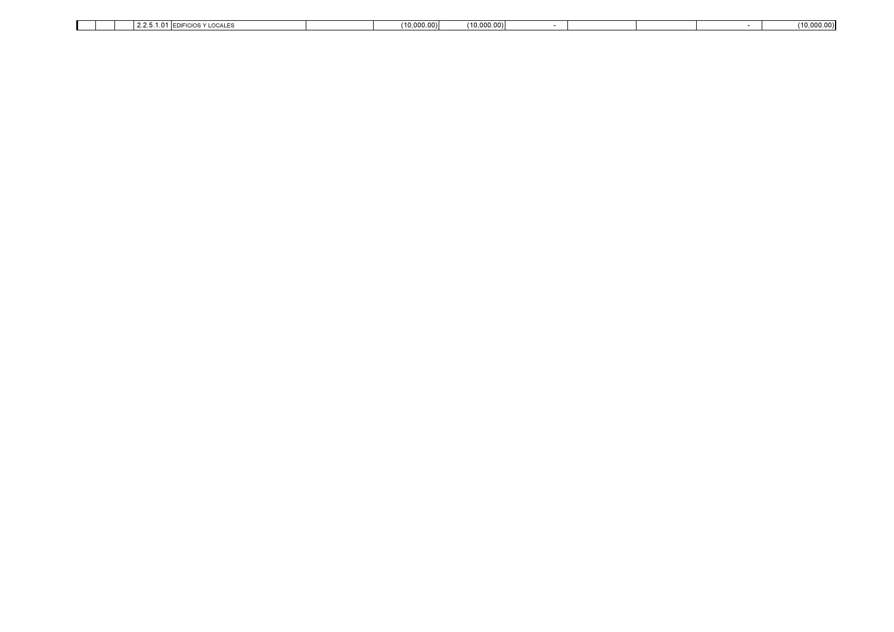|  | $\sim$ $\sim$<br>$\sim$<br>EDIFICIOS Y LOCALES<br>14.4.0.1.0 | (10.000.00) | (10,000.00) |  |  | (10,000.00) |
|--|--------------------------------------------------------------|-------------|-------------|--|--|-------------|
|  |                                                              |             |             |  |  |             |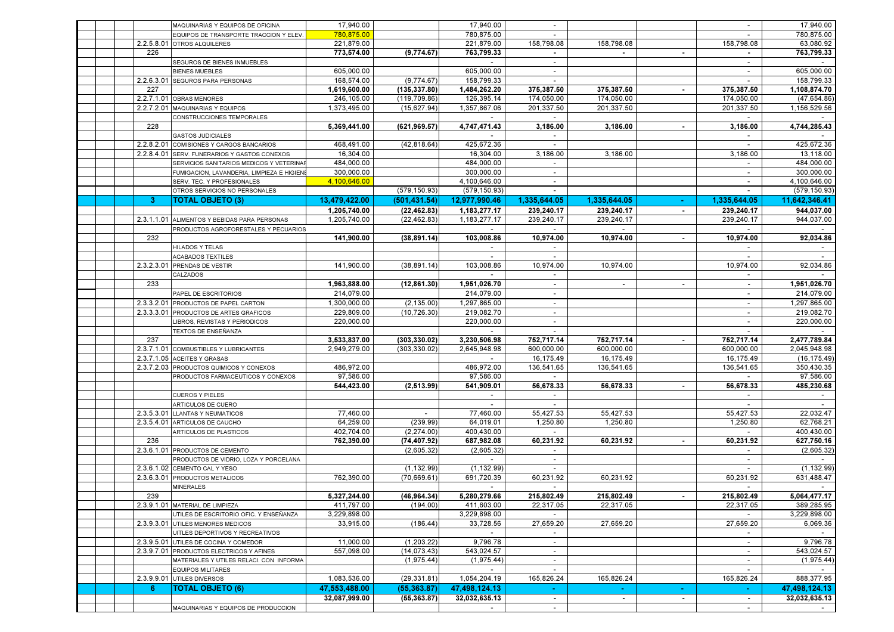|  |            | MAQUINARIAS Y EQUIPOS DE OFICINA                                                         | 17,940.00     |               | 17,940.00     |                          |              |                |                                    | 17,940.00     |
|--|------------|------------------------------------------------------------------------------------------|---------------|---------------|---------------|--------------------------|--------------|----------------|------------------------------------|---------------|
|  |            | EQUIPOS DE TRANSPORTE TRACCION Y ELEV                                                    | 780,875.00    |               | 780,875.00    |                          |              |                |                                    | 780,875.00    |
|  |            | 2.2.5.8.01 OTROS ALQUILERES                                                              | 221,879.00    |               | 221,879.00    | 158,798.08               | 158,798.08   |                | 158,798.08                         | 63,080.92     |
|  | 226        |                                                                                          | 773,574.00    | (9,774.67)    | 763,799.33    |                          |              | $\blacksquare$ | $\sim$                             | 763,799.33    |
|  |            | SEGUROS DE BIENES INMUEBLES                                                              |               |               |               | $\sim$                   |              |                | $\sim$                             | $\sim$        |
|  |            | <b>BIENES MUEBLES</b>                                                                    | 605,000.00    |               | 605,000.00    | $\sim$                   |              |                | $\sim$                             | 605,000.00    |
|  |            | 2.2.6.3.01 SEGUROS PARA PERSONAS                                                         | 168,574.00    | (9,774.67)    | 158,799.33    | $\sim$                   |              |                | $\sim$                             | 158,799.33    |
|  | 227        |                                                                                          | 1,619,600.00  | (135, 337.80) | 1,484,262.20  | 375,387.50               | 375,387.50   |                | 375,387.50                         | 1,108,874.70  |
|  |            | 2.2.7.1.01 OBRAS MENORES                                                                 | 246,105.00    | (119, 709.86) | 126,395.14    | 174,050.00               | 174,050.00   |                | 174,050.00                         | (47,654.86)   |
|  |            | 2.2.7.2.01 MAQUINARIAS Y EQUIPOS                                                         | 1,373,495.00  | (15, 627.94)  | 1,357,867.06  | 201,337.50               | 201,337.50   |                | 201,337.50                         | 1,156,529.56  |
|  |            | CONSTRUCCIONES TEMPORALES                                                                |               |               |               |                          |              |                |                                    |               |
|  | 228        |                                                                                          | 5,369,441.00  | (621, 969.57) | 4,747,471.43  | 3,186.00                 | 3,186.00     |                | 3,186.00                           | 4,744,285.43  |
|  |            | <b>GASTOS JUDICIALES</b>                                                                 | 468,491.00    |               | 425,672.36    | $\sim$                   |              |                |                                    | 425,672.36    |
|  |            | 2.2.8.2.01 COMISIONES Y CARGOS BANCARIOS<br>2.2.8.4.01 SERV. FUNERARIOS Y GASTOS CONEXOS | 16.304.00     | (42, 818.64)  | 16,304.00     | 3,186.00                 | 3,186.00     |                | 3,186.00                           | 13,118.00     |
|  |            | SERVICIOS SANITARIOS MEDICOS Y VETERINA                                                  | 484,000.00    |               | 484,000.00    | $\overline{\phantom{0}}$ |              |                | $\sim$                             | 484,000.00    |
|  |            | FUMIGACION, LAVANDERIA, LIMPIEZA E HIGIEN                                                | 300,000.00    |               | 300.000.00    |                          |              |                |                                    | 300,000.00    |
|  |            | SERV. TEC. Y PROFESIONALES                                                               | 4,100,646.00  |               | 4,100,646.00  |                          |              |                |                                    | 4,100,646.00  |
|  |            | OTROS SERVICIOS NO PERSONALES                                                            |               | (579, 150.93) | (579, 150.93) |                          |              |                |                                    | (579, 150.93) |
|  | -3         | <b>TOTAL OBJETO (3)</b>                                                                  | 13,479,422.00 | (501,431.54)  | 12,977,990.46 | 1,335,644.05             | 1,335,644.05 |                | 1,335,644.05                       | 11,642,346.41 |
|  |            |                                                                                          | 1,205,740.00  | (22, 462.83)  | 1,183,277.17  | 239,240.17               | 239,240.17   | $\blacksquare$ | 239,240.17                         | 944,037.00    |
|  | 2.3.1.1.01 | ALIMENTOS Y BEBIDAS PARA PERSONAS                                                        | 1,205,740.00  | (22, 462.83)  | 1,183,277.17  | 239,240.17               | 239,240.17   |                | 239,240.17                         | 944,037.00    |
|  |            | PRODUCTOS AGROFORESTALES Y PECUARIOS                                                     |               |               |               |                          |              |                |                                    |               |
|  | 232        |                                                                                          | 141,900.00    | (38, 891.14)  | 103,008.86    | 10,974.00                | 10,974.00    | $\mathbf{r}$   | 10,974.00                          | 92,034.86     |
|  |            | HILADOS Y TELAS                                                                          |               |               | $\sim$        | $\sim$                   |              |                | $\sim$                             | $\sim$        |
|  |            | <b>ACABADOS TEXTILES</b>                                                                 |               |               |               |                          |              |                | $\sim$                             |               |
|  |            | 2.3.2.3.01 PRENDAS DE VESTIR                                                             | 141,900.00    | (38.891.14)   | 103,008.86    | 10,974.00                | 10.974.00    |                | 10,974.00                          | 92,034.86     |
|  |            | CALZADOS                                                                                 |               |               |               | $\overline{\phantom{a}}$ |              |                | $\overline{\phantom{a}}$           |               |
|  | 233        |                                                                                          | 1,963,888.00  | (12, 861.30)  | 1,951,026.70  | $\sim$                   | $\sim$       | $\blacksquare$ | $\sim$                             | 1,951,026.70  |
|  |            | PAPEL DE ESCRITORIOS                                                                     | 214,079.00    |               | 214,079.00    |                          |              |                | $\overline{\phantom{a}}$           | 214,079.00    |
|  |            | 2.3.3.2.01 PRODUCTOS DE PAPEL CARTON                                                     | 1,300,000.00  | (2, 135.00)   | 1,297,865.00  | $\sim$                   |              |                | $\sim$                             | 1,297,865.00  |
|  |            | 2.3.3.3.01 PRODUCTOS DE ARTES GRAFICOS                                                   | 229,809.00    | (10, 726.30)  | 219.082.70    | $\overline{\phantom{a}}$ |              |                | $\sim$                             | 219,082.70    |
|  |            | LIBROS, REVISTAS Y PERIODICOS                                                            | 220,000.00    |               | 220,000.00    | $\sim$                   |              |                | $\overline{\phantom{a}}$           | 220,000.00    |
|  |            | TEXTOS DE ENSEÑANZA                                                                      |               |               |               |                          |              |                |                                    |               |
|  | 237        |                                                                                          | 3,533,837.00  | (303, 330.02) | 3,230,506.98  | 752,717.14               | 752,717.14   |                | 752,717.14                         | 2,477,789.84  |
|  |            | 2.3.7.1.01 COMBUSTIBLES Y LUBRICANTES                                                    | 2,949,279.00  | (303, 330.02) | 2,645,948.98  | 600,000.00               | 600,000.00   |                | 600,000.00                         | 2,045,948.98  |
|  |            | 2.3.7.1.05 ACEITES Y GRASAS                                                              |               |               | $\sim$        | 16,175.49                | 16,175.49    |                | 16,175.49                          | (16, 175.49)  |
|  |            | 2.3.7.2.03 PRODUCTOS QUIMICOS Y CONEXOS                                                  | 486,972.00    |               | 486,972.00    | 136,541.65               | 136,541.65   |                | 136,541.65                         | 350,430.35    |
|  |            | PRODUCTOS FARMACEUTICOS Y CONEXOS                                                        | 97,586.00     |               | 97,586.00     |                          |              |                |                                    | 97,586.00     |
|  |            | <b>CUEROS Y PIELES</b>                                                                   | 544,423.00    | (2, 513.99)   | 541,909.01    | 56,678.33                | 56,678.33    |                | 56,678.33                          | 485,230.68    |
|  |            | ARTICULOS DE CUERO                                                                       |               |               |               |                          |              |                |                                    |               |
|  |            | 2.3.5.3.01 LLANTAS Y NEUMATICOS                                                          | 77,460.00     | $\sim$        | 77,460.00     | 55,427.53                | 55,427.53    |                | 55,427.53                          | 22,032.47     |
|  | 2.3.5.4.01 | ARTICULOS DE CAUCHO                                                                      | 64,259.00     | (239.99)      | 64,019.01     | 1,250.80                 | 1,250.80     |                | 1,250.80                           | 62,768.21     |
|  |            | ARTICULOS DE PLASTICOS                                                                   | 402,704.00    | (2,274.00)    | 400,430.00    | $\sim$                   |              |                | $\sim$                             | 400,430.00    |
|  | 236        |                                                                                          | 762,390.00    | (74, 407.92)  | 687,982.08    | 60,231.92                | 60,231.92    | $\blacksquare$ | 60,231.92                          | 627,750.16    |
|  |            | 2.3.6.1.01 PRODUCTOS DE CEMENTO                                                          |               | (2.605.32)    | (2.605.32)    | $\sim$                   |              |                | $\sim$                             | (2,605.32)    |
|  |            | PRODUCTOS DE VIDRIO, LOZA Y PORCELANA                                                    |               |               |               | $\sim$                   |              |                | $\overline{\phantom{a}}$           |               |
|  |            | 2.3.6.1.02 CEMENTO CAL Y YESO                                                            |               | (1, 132.99)   | (1, 132.99)   | $\sim$                   |              |                | $\sim$                             | (1, 132.99)   |
|  |            | 2.3.6.3.01 PRODUCTOS METALICOS                                                           | 762,390.00    | (70, 669.61)  | 691,720.39    | 60,231.92                | 60,231.92    |                | 60,231.92                          | 631,488.47    |
|  |            | <b>MINERALES</b>                                                                         |               |               |               |                          |              |                |                                    |               |
|  | 239        |                                                                                          | 5,327,244.00  | (46, 964.34)  | 5,280,279.66  | 215,802.49               | 215,802.49   |                | 215,802.49                         | 5,064,477.17  |
|  |            | 2.3.9.1.01 MATERIAL DE LIMPIEZA                                                          | 411,797.00    | (194.00)      | 411,603.00    | 22,317.05                | 22,317.05    |                | 22,317.05                          | 389,285.95    |
|  |            | UTILES DE ESCRITORIO OFIC. Y ENSEÑANZA                                                   | 3,229,898.00  |               | 3,229,898.00  | $\sim$                   |              |                |                                    | 3,229,898.00  |
|  |            | 2.3.9.3.01 UTILES MENORES MEDICOS                                                        | 33.915.00     | (186.44)      | 33,728.56     | 27,659.20                | 27,659.20    |                | 27.659.20                          | 6,069.36      |
|  |            | UITLES DEPORTIVOS Y RECREATIVOS                                                          |               |               | $\sim$        | $\sim$                   |              |                | $\sim$                             | $\sim$        |
|  |            | 2.3.9.5.01 UTILES DE COCINA Y COMEDOR                                                    | 11.000.00     | (1, 203.22)   | 9,796.78      | $\sim$                   |              |                | $\sim$                             | 9,796.78      |
|  |            | 2.3.9.7.01 PRODUCTOS ELECTRICOS Y AFINES                                                 | 557.098.00    | (14, 073.43)  | 543,024.57    | $\overline{\phantom{a}}$ |              |                | $\sim$                             | 543,024.57    |
|  |            | MATERIALES Y UTILES RELACI. CON INFORMA                                                  |               | (1,975.44)    | (1,975.44)    | $\sim$<br>$\sim$         |              |                | $\overline{\phantom{a}}$<br>$\sim$ | (1,975.44)    |
|  |            | <b>EQUIPOS MILITARES</b><br>2.3.9.9.01 UTILES DIVERSOS                                   | 1,083,536.00  | (29, 331.81)  | 1,054,204.19  | 165,826.24               | 165,826.24   |                | 165,826.24                         | 888,377.95    |
|  | 6          | <b>TOTAL OBJETO (6)</b>                                                                  | 47.553.488.00 | (55, 363.87)  | 47,498,124.13 |                          |              | $\blacksquare$ |                                    | 47,498,124.13 |
|  |            |                                                                                          | 32,087,999.00 | (55, 363.87)  | 32,032,635.13 |                          |              |                | $\sim$<br>$\sim$                   | 32,032,635.13 |
|  |            | MAQUINARIAS Y EQUIPOS DE PRODUCCION                                                      |               |               |               |                          |              |                | $\sim$                             |               |
|  |            |                                                                                          |               |               |               |                          |              |                |                                    |               |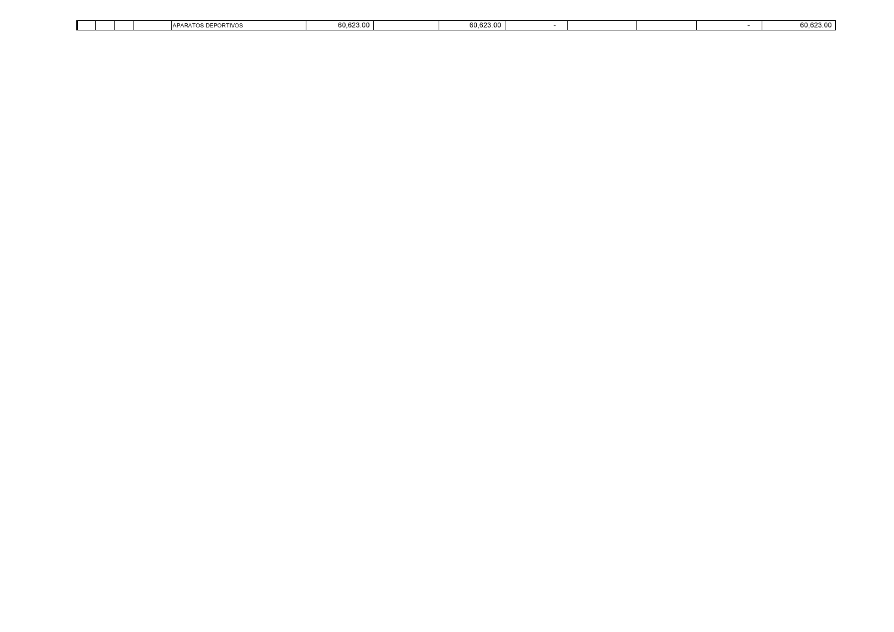|  |  | $\Delta$ $\Gamma$ $\Delta$ $\Gamma$ $\Delta$<br>=DODTIVO<br>11.77.7 |  | 60.623.0<br>-- |  |  | 60,623.00 |
|--|--|---------------------------------------------------------------------|--|----------------|--|--|-----------|
|  |  |                                                                     |  |                |  |  |           |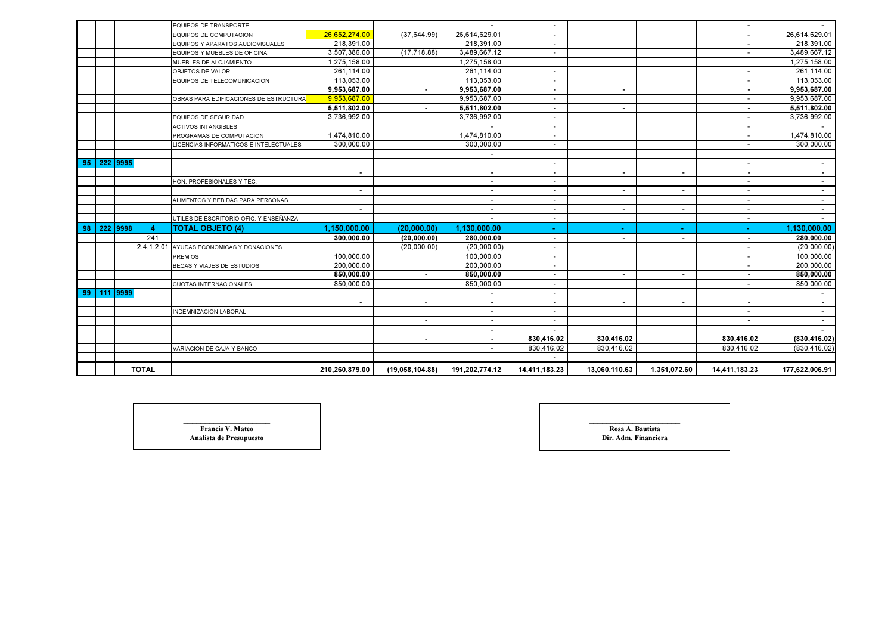|    |             |                | EQUIPOS DE TRANSPORTE                  |                          |                          |                          |                          |                |                          |                          |                |
|----|-------------|----------------|----------------------------------------|--------------------------|--------------------------|--------------------------|--------------------------|----------------|--------------------------|--------------------------|----------------|
|    |             |                | <b>EQUIPOS DE COMPUTACION</b>          | 26,652,274.00            | (37, 644.99)             | 26,614,629.01            |                          |                |                          | $\overline{\phantom{a}}$ | 26,614,629.01  |
|    |             |                | EQUIPOS Y APARATOS AUDIOVISUALES       | 218.391.00               |                          | 218,391.00               |                          |                |                          |                          | 218,391.00     |
|    |             |                | EQUIPOS Y MUEBLES DE OFICINA           | 3,507,386.00             | (17, 718.88)             | 3,489,667.12             |                          |                |                          |                          | 3,489,667.12   |
|    |             |                | MUEBLES DE ALOJAMIENTO                 | 1.275.158.00             |                          | 1.275.158.00             |                          |                |                          |                          | 1,275,158.00   |
|    |             |                | OBJETOS DE VALOR                       | 261,114.00               |                          | 261,114.00               |                          |                |                          | $\sim$                   | 261,114.00     |
|    |             |                | EQUIPOS DE TELECOMUNICACION            | 113,053.00               |                          | 113,053.00               | $\overline{\phantom{a}}$ |                |                          | $\overline{\phantom{a}}$ | 113,053.00     |
|    |             |                |                                        | 9,953,687.00             | $\sim$                   | 9,953,687.00             | $\blacksquare$           | $\blacksquare$ |                          | $\sim$                   | 9,953,687.00   |
|    |             |                | OBRAS PARA EDIFICACIONES DE ESTRUCTURA | 9,953,687.00             |                          | 9,953,687.00             |                          |                |                          | $\overline{\phantom{0}}$ | 9,953,687.00   |
|    |             |                |                                        | 5,511,802.00             | $\blacksquare$           | 5,511,802.00             | $\blacksquare$           | ٠              |                          | $\sim$                   | 5,511,802.00   |
|    |             |                | EQUIPOS DE SEGURIDAD                   | 3,736,992.00             |                          | 3,736,992.00             |                          |                |                          | $\sim$                   | 3,736,992.00   |
|    |             |                | <b>ACTIVOS INTANGIBLES</b>             |                          |                          |                          |                          |                |                          | $\overline{\phantom{a}}$ |                |
|    |             |                | PROGRAMAS DE COMPUTACION               | 1,474,810.00             |                          | 1,474,810.00             |                          |                |                          |                          | 1,474,810.00   |
|    |             |                | LICENCIAS INFORMATICOS E INTELECTUALES | 300,000.00               |                          | 300,000.00               | $\sim$                   |                |                          | $\sim$                   | 300,000.00     |
|    |             |                |                                        |                          |                          |                          |                          |                |                          |                          |                |
|    | 95 222 9995 |                |                                        |                          |                          |                          |                          |                |                          | $\sim$                   |                |
|    |             |                |                                        | $\overline{\phantom{a}}$ |                          | $\sim$                   | $\overline{\phantom{a}}$ | $\blacksquare$ | $\overline{\phantom{a}}$ | $\sim$                   | $\sim$         |
|    |             |                | HON. PROFESIONALES Y TEC.              |                          |                          | $\overline{\phantom{a}}$ |                          |                |                          | $\overline{\phantom{0}}$ | $\sim$         |
|    |             |                |                                        | ٠                        |                          |                          | $\blacksquare$           |                | $\blacksquare$           | $\overline{\phantom{0}}$ | $\sim$         |
|    |             |                | ALIMENTOS Y BEBIDAS PARA PERSONAS      |                          |                          |                          | $\overline{\phantom{a}}$ |                |                          | $\sim$                   | $\sim$         |
|    |             |                |                                        | ٠                        |                          | $\overline{\phantom{a}}$ | $\blacksquare$           | $\blacksquare$ | $\blacksquare$           | $\overline{\phantom{a}}$ | $\sim$         |
|    |             |                | UTILES DE ESCRITORIO OFIC. Y ENSEÑANZA |                          |                          |                          | $\overline{\phantom{a}}$ |                |                          | $\sim$                   | $\sim$         |
| 98 | 222 9998    | $\overline{4}$ | <b>TOTAL OBJETO (4)</b>                | 1,150,000.00             | (20,000.00)              | 1,130,000.00             |                          |                |                          |                          | 1,130,000.00   |
|    |             | 241            |                                        | 300.000.00               | (20,000.00)              | 280,000.00               | $\blacksquare$           | $\blacksquare$ | $\overline{\phantom{a}}$ | $\sim$                   | 280,000.00     |
|    |             | 2.4.1.2.01     | AYUDAS ECONOMICAS Y DONACIONES         |                          | (20,000.00)              | (20,000.00)              |                          |                |                          | $\sim$                   | (20,000.00)    |
|    |             |                | <b>PREMIOS</b>                         | 100.000.00               |                          | 100,000.00               | $\overline{\phantom{a}}$ |                |                          | $\sim$                   | 100,000.00     |
|    |             |                | BECAS Y VIAJES DE ESTUDIOS             | 200.000.00               |                          | 200,000.00               |                          |                |                          | $\sim$                   | 200,000.00     |
|    |             |                |                                        | 850,000.00               |                          | 850,000.00               |                          | ٠              | $\blacksquare$           | $\sim$                   | 850,000.00     |
|    |             |                | <b>CUOTAS INTERNACIONALES</b>          | 850,000.00               |                          | 850,000.00               | $\sim$                   |                |                          | $\overline{\phantom{a}}$ | 850,000.00     |
| 99 | $111$ 9999  |                |                                        |                          |                          |                          |                          |                |                          |                          |                |
|    |             |                |                                        | $\blacksquare$           | $\overline{\phantom{a}}$ | $\overline{\phantom{a}}$ | $\overline{\phantom{a}}$ | $\blacksquare$ | $\blacksquare$           | $\sim$                   | $\blacksquare$ |
|    |             |                | <b>INDEMNIZACION LABORAL</b>           |                          |                          |                          |                          |                |                          | $\overline{\phantom{0}}$ |                |
|    |             |                |                                        |                          | $\blacksquare$           |                          |                          |                |                          |                          | $\sim$         |
|    |             |                |                                        |                          |                          |                          |                          |                |                          |                          |                |
|    |             |                |                                        |                          | $\sim$                   | $\sim$                   | 830,416.02               | 830,416.02     |                          | 830,416.02               | (830, 416.02)  |
|    |             |                | VARIACION DE CAJA Y BANCO              |                          |                          |                          | 830,416.02               | 830,416.02     |                          | 830,416.02               | (830, 416.02)  |
|    |             |                |                                        |                          |                          |                          |                          |                |                          |                          |                |
|    |             | <b>TOTAL</b>   |                                        | 210,260,879.00           | (19,058,104.88)          | 191,202,774.12           | 14,411,183.23            | 13,060,110.63  | 1,351,072.60             | 14,411,183.23            | 177,622,006.91 |

**Francis V. Mateo** Analista de Presupuesto

o and a constant of the constant of the constant of the constant of the constant of the constant of the constant of the constant of the constant of the constant of the constant of the constant of the constant of the consta